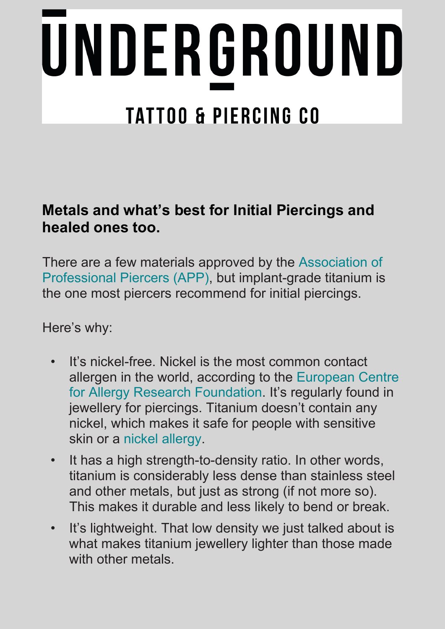# UNDERGROUND **TATTOO & PIERCING CO**

#### **Metals and what's best for Initial Piercings and healed ones too.**

There are a few materials approved by the [Association](https://www.safepiercing.org/jewelry_standards.php) of [Professional](https://www.safepiercing.org/jewelry_standards.php) Piercers (APP), but implant-grade titanium is the one most piercers recommend for initial piercings.

Here's why:

- It's nickel-free. Nickel is the most common contact allergen in the world, according to the [European](https://www.ecarf.org/en/information-portal/allergies-overview/nickel-allergy/) Centre for Allergy Research [Foundation.](https://www.ecarf.org/en/information-portal/allergies-overview/nickel-allergy/) It's regularly found in jewellery for piercings. Titanium doesn't contain any nickel, which makes it safe for people with sensitive skin or a nickel [allergy.](https://www.healthline.com/health/allergies/nickel)
- It has a high strength-to-density ratio. In other words, titanium is considerably less dense than stainless steel and other metals, but just as strong (if not more so). This makes it durable and less likely to bend or break.
- It's lightweight. That low density we just talked about is what makes titanium jewellery lighter than those made with other metals.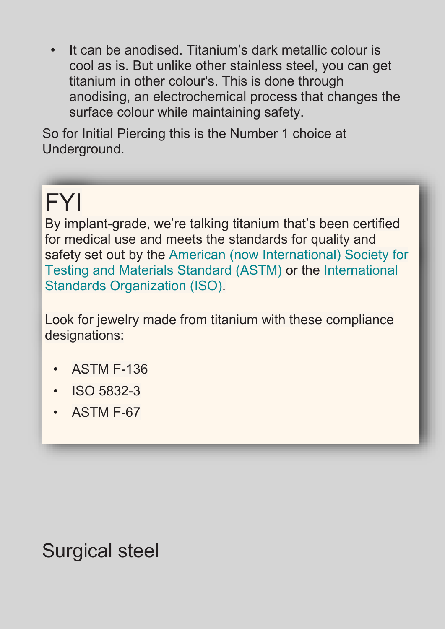• It can be anodised. Titanium's dark metallic colour is cool as is. But unlike other stainless steel, you can get titanium in other colour's. This is done through anodising, an electrochemical process that changes the surface colour while maintaining safety.

So for Initial Piercing this is the Number 1 choice at Underground.

## FYI

By implant-grade, we're talking titanium that's been certified for medical use and meets the standards for quality and safety set out by the [American \(now](https://www.astm.org/) International) Society for Testing and Materials [Standard \(ASTM\)](https://www.astm.org/) or the [International](https://www.iso.org/home.html) Standards [Organization \(ISO\).](https://www.iso.org/home.html)

Look for jewelry made from titanium with these compliance designations:

- ASTM F-136
- ISO 5832-3
- ASTM F-67

Surgical steel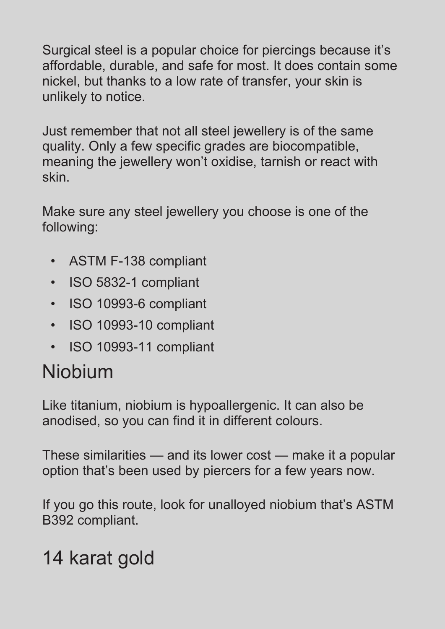Surgical steel is a popular choice for piercings because it's affordable, durable, and safe for most. It does contain some nickel, but thanks to a low rate of transfer, your skin is unlikely to notice.

Just remember that not all steel jewellery is of the same quality. Only a few specific grades are biocompatible, meaning the jewellery won't oxidise, tarnish or react with skin.

Make sure any steel jewellery you choose is one of the following:

- ASTM F-138 compliant
- ISO 5832-1 compliant
- ISO 10993-6 compliant
- ISO 10993-10 compliant
- ISO 10993-11 compliant

## Niobium

Like titanium, niobium is hypoallergenic. It can also be anodised, so you can find it in different colours.

These similarities — and its lower cost — make it a popular option that's been used by piercers for a few years now.

If you go this route, look for unalloyed niobium that's ASTM B392 compliant.

## 14 karat gold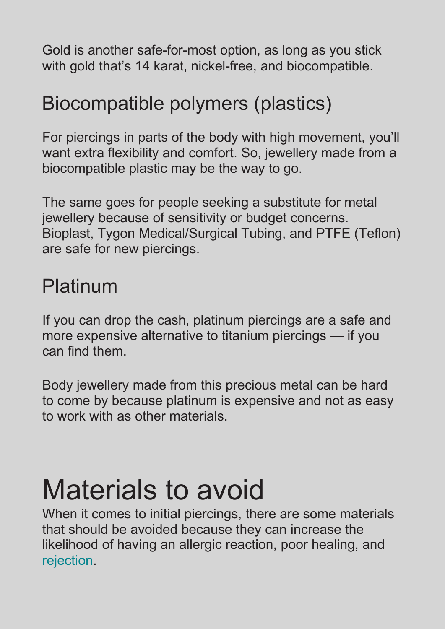Gold is another safe-for-most option, as long as you stick with gold that's 14 karat, nickel-free, and biocompatible.

## Biocompatible polymers (plastics)

For piercings in parts of the body with high movement, you'll want extra flexibility and comfort. So, jewellery made from a biocompatible plastic may be the way to go.

The same goes for people seeking a substitute for metal jewellery because of sensitivity or budget concerns. Bioplast, Tygon Medical/Surgical Tubing, and PTFE (Teflon) are safe for new piercings.

## Platinum

If you can drop the cash, platinum piercings are a safe and more expensive alternative to titanium piercings — if you can find them.

Body jewellery made from this precious metal can be hard to come by because platinum is expensive and not as easy to work with as other materials.

## Materials to avoid

When it comes to initial piercings, there are some materials that should be avoided because they can increase the likelihood of having an allergic reaction, poor healing, and [rejection.](https://www.healthline.com/health/piercing-rejection)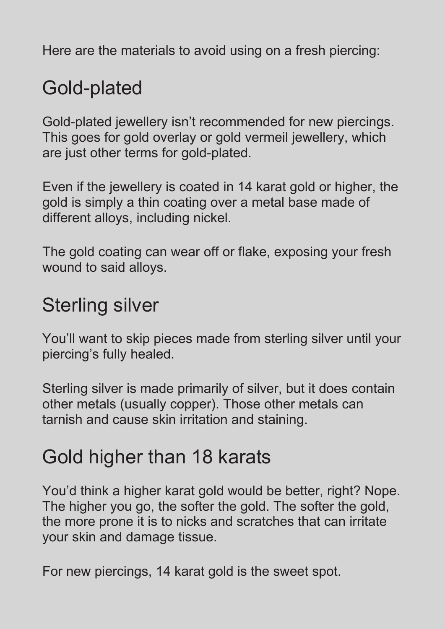Here are the materials to avoid using on a fresh piercing:

### Gold-plated

Gold-plated jewellery isn't recommended for new piercings. This goes for gold overlay or gold vermeil jewellery, which are just other terms for gold-plated.

Even if the jewellery is coated in 14 karat gold or higher, the gold is simply a thin coating over a metal base made of different alloys, including nickel.

The gold coating can wear off or flake, exposing your fresh wound to said alloys.

#### Sterling silver

You'll want to skip pieces made from sterling silver until your piercing's fully healed.

Sterling silver is made primarily of silver, but it does contain other metals (usually copper). Those other metals can tarnish and cause skin irritation and staining.

#### Gold higher than 18 karats

You'd think a higher karat gold would be better, right? Nope. The higher you go, the softer the gold. The softer the gold, the more prone it is to nicks and scratches that can irritate your skin and damage tissue.

For new piercings, 14 karat gold is the sweet spot.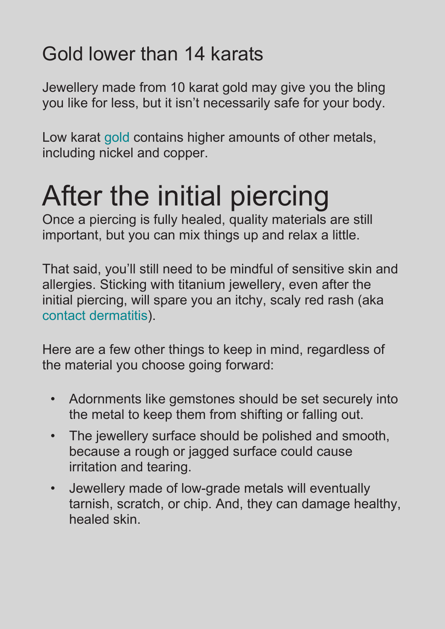## Gold lower than 14 karats

Jewellery made from 10 karat gold may give you the bling you like for less, but it isn't necessarily safe for your body.

Low karat [gold](https://www.healthline.com/health/allergic-to-gold) contains higher amounts of other metals, including nickel and copper.

# After the initial piercing

Once a piercing is fully healed, quality materials are still important, but you can mix things up and relax a little.

That said, you'll still need to be mindful of sensitive skin and allergies. Sticking with titanium jewellery, even after the initial piercing, will spare you an itchy, scaly red rash (aka contact [dermatitis\)](https://www.healthline.com/health/contact-dermatitis).

Here are a few other things to keep in mind, regardless of the material you choose going forward:

- Adornments like gemstones should be set securely into the metal to keep them from shifting or falling out.
- The jewellery surface should be polished and smooth, because a rough or jagged surface could cause irritation and tearing.
- Jewellery made of low-grade metals will eventually tarnish, scratch, or chip. And, they can damage healthy, healed skin.